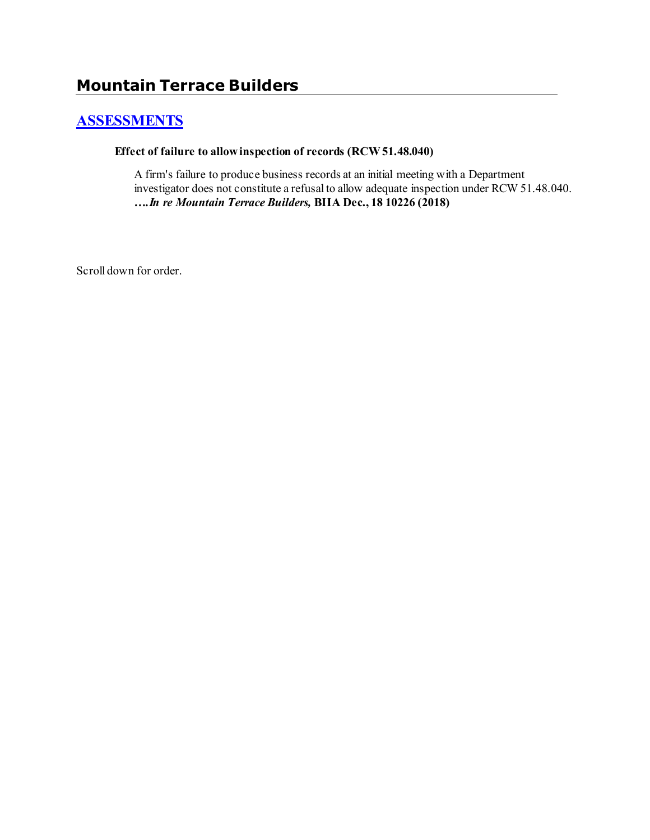# **[ASSESSMENTS](http://www.biia.wa.gov/SDSubjectIndex.html#ASSESSMENTS)**

#### **Effect of failure to allow inspection of records (RCW 51.48.040)**

A firm's failure to produce business records at an initial meeting with a Department investigator does not constitute a refusal to allow adequate inspection under RCW 51.48.040. *….In re Mountain Terrace Builders,* **BIIA Dec., 18 10226 (2018)**

Scroll down for order.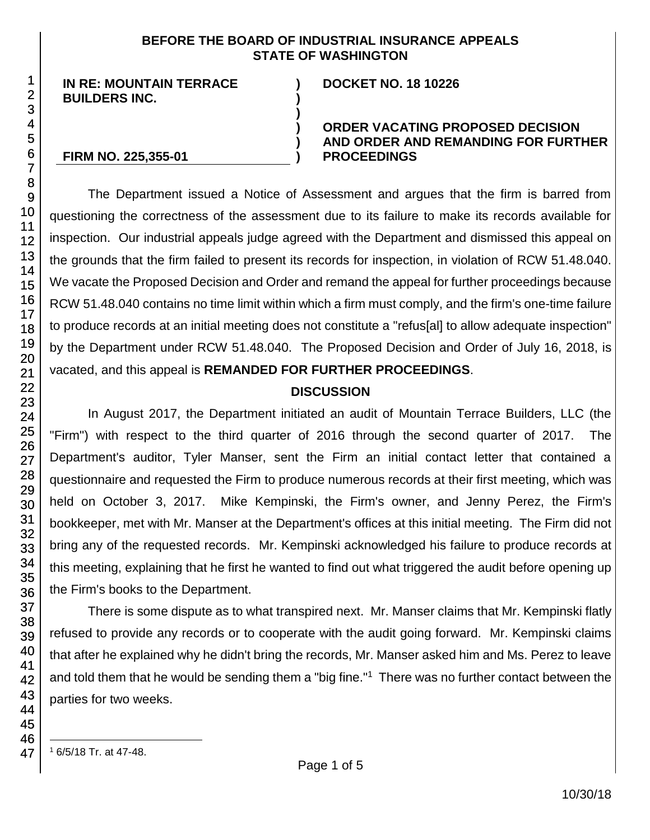#### **BEFORE THE BOARD OF INDUSTRIAL INSURANCE APPEALS STATE OF WASHINGTON**

**) )**

**)**

**) ) )**

**IN RE: MOUNTAIN TERRACE BUILDERS INC.**

#### **DOCKET NO. 18 10226**

#### **ORDER VACATING PROPOSED DECISION AND ORDER AND REMANDING FOR FURTHER PROCEEDINGS**

#### **FIRM NO. 225,355-01**

The Department issued a Notice of Assessment and argues that the firm is barred from questioning the correctness of the assessment due to its failure to make its records available for inspection. Our industrial appeals judge agreed with the Department and dismissed this appeal on the grounds that the firm failed to present its records for inspection, in violation of RCW 51.48.040. We vacate the Proposed Decision and Order and remand the appeal for further proceedings because RCW 51.48.040 contains no time limit within which a firm must comply, and the firm's one-time failure to produce records at an initial meeting does not constitute a "refus[al] to allow adequate inspection" by the Department under RCW 51.48.040. The Proposed Decision and Order of July 16, 2018, is vacated, and this appeal is **REMANDED FOR FURTHER PROCEEDINGS**.

# **DISCUSSION**

In August 2017, the Department initiated an audit of Mountain Terrace Builders, LLC (the "Firm") with respect to the third quarter of 2016 through the second quarter of 2017. The Department's auditor, Tyler Manser, sent the Firm an initial contact letter that contained a questionnaire and requested the Firm to produce numerous records at their first meeting, which was held on October 3, 2017. Mike Kempinski, the Firm's owner, and Jenny Perez, the Firm's bookkeeper, met with Mr. Manser at the Department's offices at this initial meeting. The Firm did not bring any of the requested records. Mr. Kempinski acknowledged his failure to produce records at this meeting, explaining that he first he wanted to find out what triggered the audit before opening up the Firm's books to the Department.

There is some dispute as to what transpired next. Mr. Manser claims that Mr. Kempinski flatly refused to provide any records or to cooperate with the audit going forward. Mr. Kempinski claims that after he explained why he didn't bring the records, Mr. Manser asked him and Ms. Perez to leave and told them that he would be sending them a "big fine."<sup>1</sup> There was no further contact between the parties for two weeks.

47

l

1

<sup>1</sup> 6/5/18 Tr. at 47-48.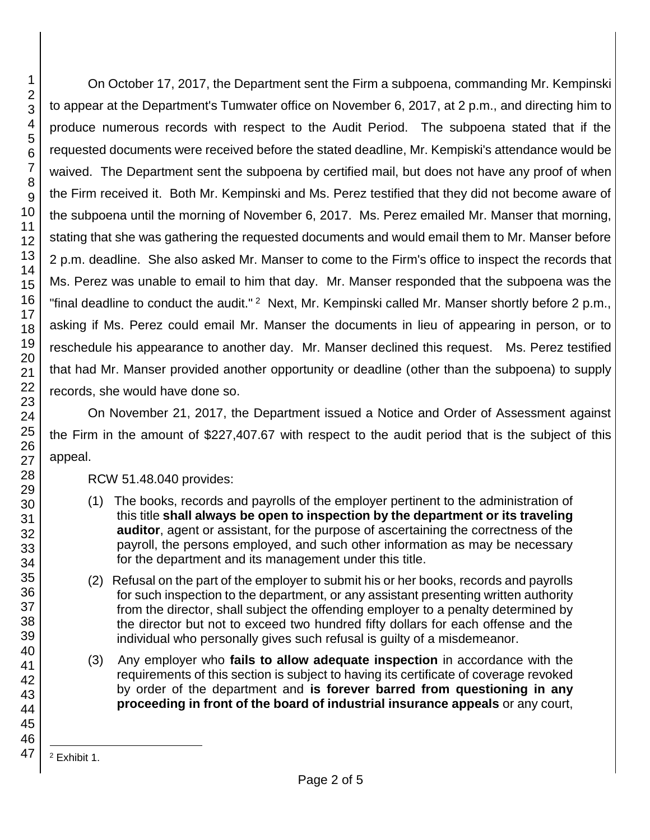On October 17, 2017, the Department sent the Firm a subpoena, commanding Mr. Kempinski to appear at the Department's Tumwater office on November 6, 2017, at 2 p.m., and directing him to produce numerous records with respect to the Audit Period. The subpoena stated that if the requested documents were received before the stated deadline, Mr. Kempiski's attendance would be waived. The Department sent the subpoena by certified mail, but does not have any proof of when the Firm received it. Both Mr. Kempinski and Ms. Perez testified that they did not become aware of the subpoena until the morning of November 6, 2017. Ms. Perez emailed Mr. Manser that morning, stating that she was gathering the requested documents and would email them to Mr. Manser before 2 p.m. deadline. She also asked Mr. Manser to come to the Firm's office to inspect the records that Ms. Perez was unable to email to him that day. Mr. Manser responded that the subpoena was the "final deadline to conduct the audit."  $2\text{ Next}$ , Mr. Kempinski called Mr. Manser shortly before 2 p.m., asking if Ms. Perez could email Mr. Manser the documents in lieu of appearing in person, or to reschedule his appearance to another day. Mr. Manser declined this request. Ms. Perez testified that had Mr. Manser provided another opportunity or deadline (other than the subpoena) to supply records, she would have done so.

On November 21, 2017, the Department issued a Notice and Order of Assessment against the Firm in the amount of \$227,407.67 with respect to the audit period that is the subject of this appeal.

RCW 51.48.040 provides:

- (1) The books, records and payrolls of the employer pertinent to the administration of this title **shall always be open to inspection by the department or its traveling auditor**, agent or assistant, for the purpose of ascertaining the correctness of the payroll, the persons employed, and such other information as may be necessary for the department and its management under this title.
- (2) Refusal on the part of the employer to submit his or her books, records and payrolls for such inspection to the department, or any assistant presenting written authority from the director, shall subject the offending employer to a penalty determined by the director but not to exceed two hundred fifty dollars for each offense and the individual who personally gives such refusal is guilty of a misdemeanor.
- (3) Any employer who **fails to allow adequate inspection** in accordance with the requirements of this section is subject to having its certificate of coverage revoked by order of the department and **is forever barred from questioning in any proceeding in front of the board of industrial insurance appeals** or any court,

l <sup>2</sup> Exhibit 1.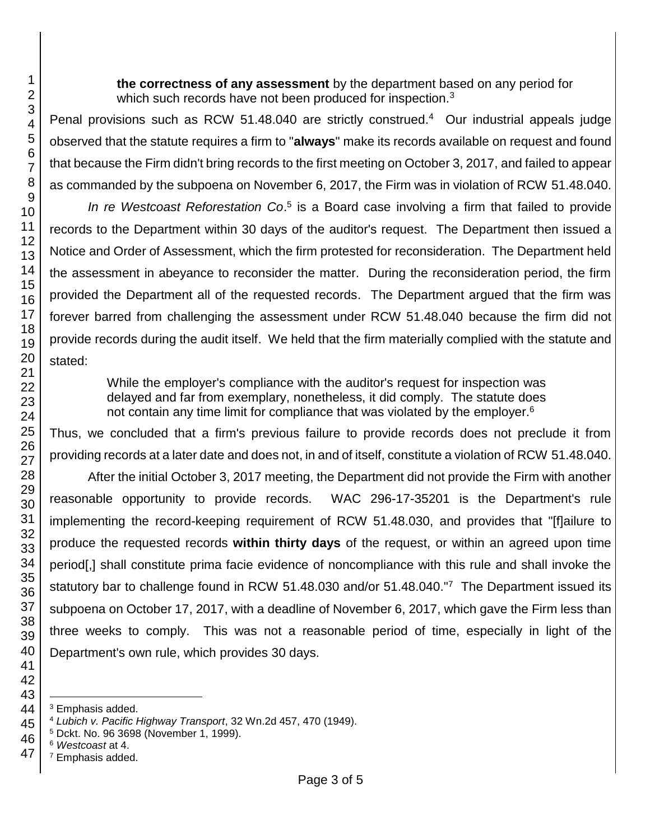**the correctness of any assessment** by the department based on any period for which such records have not been produced for inspection.<sup>3</sup>

Penal provisions such as RCW 51.48.040 are strictly construed.<sup>4</sup> Our industrial appeals judge observed that the statute requires a firm to "**always**" make its records available on request and found that because the Firm didn't bring records to the first meeting on October 3, 2017, and failed to appear as commanded by the subpoena on November 6, 2017, the Firm was in violation of RCW 51.48.040.

In re Westcoast Reforestation Co.<sup>5</sup> is a Board case involving a firm that failed to provide records to the Department within 30 days of the auditor's request. The Department then issued a Notice and Order of Assessment, which the firm protested for reconsideration. The Department held the assessment in abeyance to reconsider the matter. During the reconsideration period, the firm provided the Department all of the requested records. The Department argued that the firm was forever barred from challenging the assessment under RCW 51.48.040 because the firm did not provide records during the audit itself. We held that the firm materially complied with the statute and stated:

> While the employer's compliance with the auditor's request for inspection was delayed and far from exemplary, nonetheless, it did comply. The statute does not contain any time limit for compliance that was violated by the employer.<sup>6</sup>

Thus, we concluded that a firm's previous failure to provide records does not preclude it from providing records at a later date and does not, in and of itself, constitute a violation of RCW 51.48.040.

After the initial October 3, 2017 meeting, the Department did not provide the Firm with another reasonable opportunity to provide records. WAC 296-17-35201 is the Department's rule implementing the record-keeping requirement of RCW 51.48.030, and provides that "[f]ailure to produce the requested records **within thirty days** of the request, or within an agreed upon time period[,] shall constitute prima facie evidence of noncompliance with this rule and shall invoke the statutory bar to challenge found in RCW 51.48.030 and/or 51.48.040."<sup>7</sup> The Department issued its subpoena on October 17, 2017, with a deadline of November 6, 2017, which gave the Firm less than three weeks to comply. This was not a reasonable period of time, especially in light of the Department's own rule, which provides 30 days.

l Emphasis added.

Dckt. No. 96 3698 (November 1, 1999).

Emphasis added.

*Lubich v. Pacific Highway Transport*, 32 Wn.2d 457, 470 (1949).

 *Westcoast* at 4.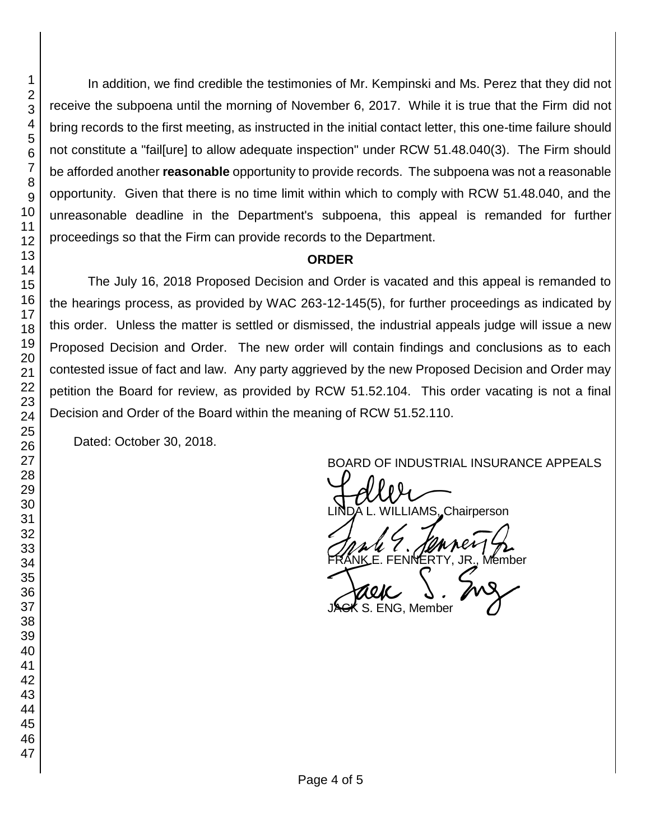In addition, we find credible the testimonies of Mr. Kempinski and Ms. Perez that they did not receive the subpoena until the morning of November 6, 2017. While it is true that the Firm did not bring records to the first meeting, as instructed in the initial contact letter, this one-time failure should not constitute a "fail[ure] to allow adequate inspection" under RCW 51.48.040(3). The Firm should be afforded another **reasonable** opportunity to provide records. The subpoena was not a reasonable opportunity. Given that there is no time limit within which to comply with RCW 51.48.040, and the unreasonable deadline in the Department's subpoena, this appeal is remanded for further proceedings so that the Firm can provide records to the Department.

# **ORDER**

The July 16, 2018 Proposed Decision and Order is vacated and this appeal is remanded to the hearings process, as provided by WAC 263-12-145(5), for further proceedings as indicated by this order. Unless the matter is settled or dismissed, the industrial appeals judge will issue a new Proposed Decision and Order. The new order will contain findings and conclusions as to each contested issue of fact and law. Any party aggrieved by the new Proposed Decision and Order may petition the Board for review, as provided by RCW 51.52.104. This order vacating is not a final Decision and Order of the Board within the meaning of RCW 51.52.110.

Dated: October 30, 2018.

BOARD OF INDUSTRIAL INSURANCE APPEALS<br>
UNDA L. WILLIAMS, Chairperson FRANK E. FENNERTY, JR., Member<br>FRANK E. FENNERTY, JR., Member<br>JACK S. ENG, Member S. ENG, Member